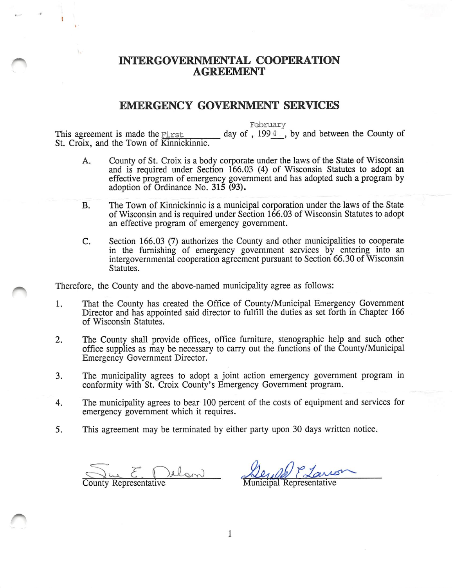#### INTERGOVERNMENTAL COOPERATION AGREEMENT

### EMERGENCY GOVERNMENT SERVICES

February

day of , 199  $\frac{1}{2}$ , by and between the County of This agreement is made the **First**<br>St. Croix, and the Town of Kinnickinnic.

- A. County of St. Croix is a body corporate under the laws of the State of Wisconsin and is required under Section 166.03 (4) of Wisconsin Statutes to adopt an effective program of emergency government and has adopted such a program by adoption of Ordinance No. 315 (93).
- B. The Town of Kinnickinnic is a municipal corporation under the laws of the State of Wisconsin and is required under Section 166.03 of Wisconsin Statutes to adopt an effective program of emergency government.
- C. Section 166.03 (7) authorizes the County and other municipalities to cooperate in the furnishing of emergency government services by entering into an intergovernmental cooperation agreement pursuant to Section 66.30 of Wisconsin Statutes.

Therefore, the County and the above-named municipality agree as follows:

- 1. That the County has created the Office of County/Municipal Emergency Government Director and has appointed said director to fulfill the duties as set forth in Chapter 166 of Wisconsin Statutes.
- 2. The County shall provide offices, office furniture, stenographic help and such other office supplies as may be necessary to carry out the functions of the County/Municipal Emergency Government Director.
- 3. The municipality agrees to adopt a joint action emergency government program in conformity with St. Croix County's Emergency Government program.
- 4. The municipality agrees to bear 100 percent of the costs of equipment and services for emergency government which it requires.
- 5. This agreement may be terminated by either party upon 30 days written notice.

beland

**County Representative Municipal Representative**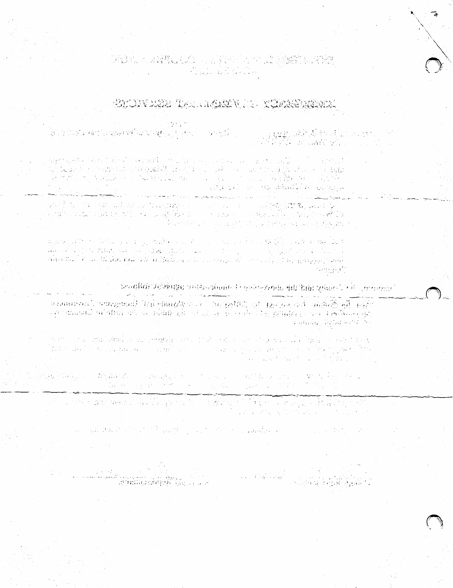## 

# POLITENT TRACK ROBERT OUT KURKERENTE

la en jourisment la archiverge de la provincia de la fa g ald defined and cont 

agemples beautifulny that will provide the composition of the second section of the central 이 사이트 시간이 있는 것이 있는 것이 있는 것이 있는 것이 있다.<br>이 사이트 시간이 있는 것이 있는 것이 있는 것이 있는 것이 있는 것이 있는 것이 있는 것이 있는 것이 있는 것이 있는 것이 있는 것이 있는 것이 있는 것이 있는 것이 있는 것이 있는 것이 있는 것 In with the photograph of the state of the state of the state of the state of the state of the state of the state of the state of the state of the state of the state of the state of the state of the state of the state of t س التلافيا المالي المعاملة المتحدة المنافس المعاملة المعاملة المعاملة المعاملة المعاملة المعاملة الم المستعمل المستعمل المستعمل المستعمل المستعمل المستعمل المستعمل المستعمل المستعمل المستعمل المستعمل المستعمل ال<br>والمستعمل المستعمل المستعمل المستعمل المستعمل المستعمل المستعمل المستعمل المستعمل المستعمل المستعمل المستعمل ا

a la degestrono teste que en quiarella es el entre el cel cel contener de dificilita de la facta မြော် အေါ်ဆိုင်း (၁) အစားတွင် ဆိုင်း (အင်္ဂလေး) (၂) အစားတွင် (၁) (၁) (၁) (၁) (၁) (၁) (၂) (၂) (၂) (၂) (၁) (၁) (၁) (၁) านั้นอยู่ในอัตริย์ เป็นเป็นเป็นเป็นนี้ เริ่มร้านอีนนี้อย่าง ออกจากเรียนเกล้า และ การเรียบรู้อนเป็นนี้นับรู้อยูร hannaich an

ીરજ્જિતિ નિર્દેશકો છે. જ્યારે કાર્યાઓની ન્યૂઝોન્ઝમ્જોદ મેતી ઉત્તર દ્વારાની એને પુસ્તાવેજો

ation of the complete anamovisi, buoygendi iral emig/wossa i anayins, ni ageyna gel shillig aji qaji ာင်း ပြင်ဆောင်း အင်္ဂရာမ်း ကို ကားရင်းကြား၍ ကား<sub>ရင်း</sub> ၁၉ ရက်က ၁၁ ရွှံ့ ညှာမှာ ၉ ရက် ၁ ရွှေ  $\label{eq:3} \begin{split} \mathcal{L}^{\mathcal{L}}(\mathcal{L}^{\mathcal{L}}(\mathcal{L}^{\mathcal{L}}(\mathcal{L}^{\mathcal{L}}(\mathcal{L}^{\mathcal{L}}(\mathcal{L}^{\mathcal{L}}(\mathcal{L}^{\mathcal{L}}(\mathcal{L}^{\mathcal{L}}(\mathcal{L}^{\mathcal{L}})^{\mathcal{L}})^{\mathcal{L}})^{\mathcal{L}}))\leq \mathcal{L}^{\mathcal{L}}(\mathcal{L}^{\mathcal{L}}(\mathcal{L}^{\mathcal{L}}(\mathcal{L}^{\mathcal{L}}(\mathcal{L}^{\mathcal{L}}(\$ 

atantiti dan administradisi berbagai germakan dituksi dengan disebut dan kepangalan langgal sebagai dalam ke ได้เพียง และได้ และ แม่มุ่นมาเจริก กล่าว มีที่ แต่การกระดานกรุณเปลี่ยนสะดวก กล่าว เปิดหาดรูปหลัง เปิดห an na France a Lúcháin a c

ng pilotik piloton di ingga bayon sebagai pengenduk mengenduk menjadi pengenduk mengenduk ke seperti pengenduk<br>Lilih menunjuk menjadi ke kepanjan berbagai pertimulan mengenduk menjadi pengerian mengenduk menjadi selama me

and the solution of lock means of the form of the median and lock of a policy starty of whi

Standard Service Contractors